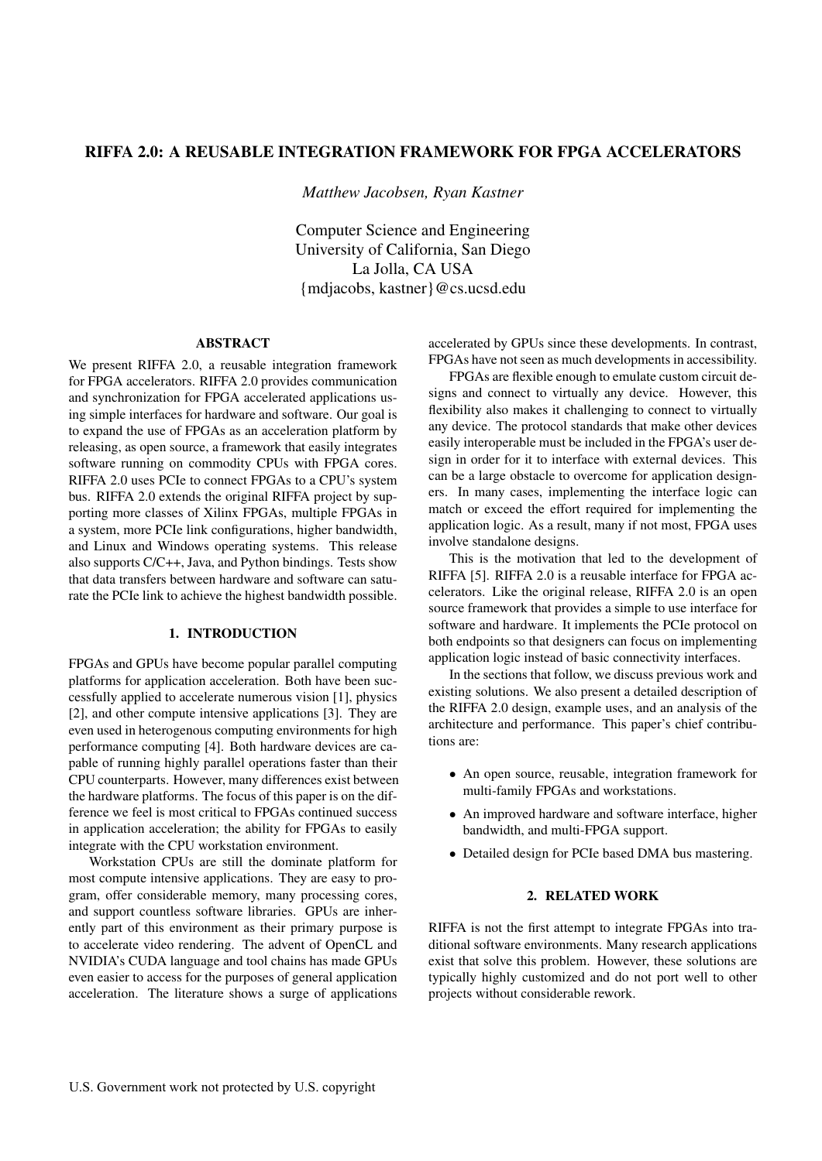# RIFFA 2.0: A REUSABLE INTEGRATION FRAMEWORK FOR FPGA ACCELERATORS

*Matthew Jacobsen, Ryan Kastner*

Computer Science and Engineering University of California, San Diego La Jolla, CA USA {mdjacobs, kastner}@cs.ucsd.edu

## ABSTRACT

We present RIFFA 2.0, a reusable integration framework for FPGA accelerators. RIFFA 2.0 provides communication and synchronization for FPGA accelerated applications using simple interfaces for hardware and software. Our goal is to expand the use of FPGAs as an acceleration platform by releasing, as open source, a framework that easily integrates software running on commodity CPUs with FPGA cores. RIFFA 2.0 uses PCIe to connect FPGAs to a CPU's system bus. RIFFA 2.0 extends the original RIFFA project by supporting more classes of Xilinx FPGAs, multiple FPGAs in a system, more PCIe link configurations, higher bandwidth, and Linux and Windows operating systems. This release also supports C/C++, Java, and Python bindings. Tests show that data transfers between hardware and software can saturate the PCIe link to achieve the highest bandwidth possible.

## 1. INTRODUCTION

FPGAs and GPUs have become popular parallel computing platforms for application acceleration. Both have been successfully applied to accelerate numerous vision [1], physics [2], and other compute intensive applications [3]. They are even used in heterogenous computing environments for high performance computing [4]. Both hardware devices are capable of running highly parallel operations faster than their CPU counterparts. However, many differences exist between the hardware platforms. The focus of this paper is on the difference we feel is most critical to FPGAs continued success in application acceleration; the ability for FPGAs to easily integrate with the CPU workstation environment.

Workstation CPUs are still the dominate platform for most compute intensive applications. They are easy to program, offer considerable memory, many processing cores, and support countless software libraries. GPUs are inherently part of this environment as their primary purpose is to accelerate video rendering. The advent of OpenCL and NVIDIA's CUDA language and tool chains has made GPUs even easier to access for the purposes of general application acceleration. The literature shows a surge of applications

accelerated by GPUs since these developments. In contrast, FPGAs have not seen as much developments in accessibility.

FPGAs are flexible enough to emulate custom circuit designs and connect to virtually any device. However, this flexibility also makes it challenging to connect to virtually any device. The protocol standards that make other devices easily interoperable must be included in the FPGA's user design in order for it to interface with external devices. This can be a large obstacle to overcome for application designers. In many cases, implementing the interface logic can match or exceed the effort required for implementing the application logic. As a result, many if not most, FPGA uses involve standalone designs.

This is the motivation that led to the development of RIFFA [5]. RIFFA 2.0 is a reusable interface for FPGA accelerators. Like the original release, RIFFA 2.0 is an open source framework that provides a simple to use interface for software and hardware. It implements the PCIe protocol on both endpoints so that designers can focus on implementing application logic instead of basic connectivity interfaces.

In the sections that follow, we discuss previous work and existing solutions. We also present a detailed description of the RIFFA 2.0 design, example uses, and an analysis of the architecture and performance. This paper's chief contributions are:

- An open source, reusable, integration framework for multi-family FPGAs and workstations.
- An improved hardware and software interface, higher bandwidth, and multi-FPGA support.
- Detailed design for PCIe based DMA bus mastering.

## 2. RELATED WORK

RIFFA is not the first attempt to integrate FPGAs into traditional software environments. Many research applications exist that solve this problem. However, these solutions are typically highly customized and do not port well to other projects without considerable rework.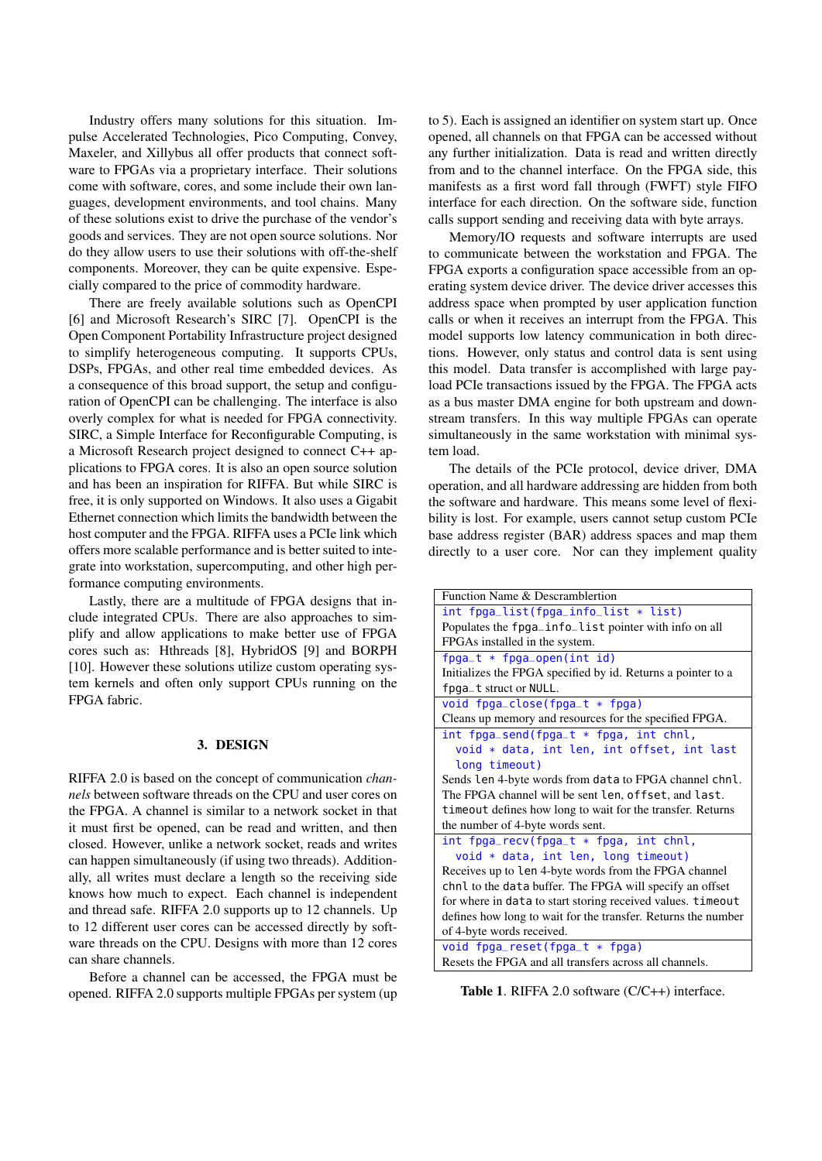Industry offers many solutions for this situation. Impulse Accelerated Technologies, Pico Computing, Convey, Maxeler, and Xillybus all offer products that connect software to FPGAs via a proprietary interface. Their solutions come with software, cores, and some include their own languages, development environments, and tool chains. Many of these solutions exist to drive the purchase of the vendor's goods and services. They are not open source solutions. Nor do they allow users to use their solutions with off-the-shelf components. Moreover, they can be quite expensive. Especially compared to the price of commodity hardware.

There are freely available solutions such as OpenCPI [6] and Microsoft Research's SIRC [7]. OpenCPI is the Open Component Portability Infrastructure project designed to simplify heterogeneous computing. It supports CPUs, DSPs, FPGAs, and other real time embedded devices. As a consequence of this broad support, the setup and configuration of OpenCPI can be challenging. The interface is also overly complex for what is needed for FPGA connectivity. SIRC, a Simple Interface for Reconfigurable Computing, is a Microsoft Research project designed to connect C++ applications to FPGA cores. It is also an open source solution and has been an inspiration for RIFFA. But while SIRC is free, it is only supported on Windows. It also uses a Gigabit Ethernet connection which limits the bandwidth between the host computer and the FPGA. RIFFA uses a PCIe link which offers more scalable performance and is better suited to integrate into workstation, supercomputing, and other high performance computing environments.

Lastly, there are a multitude of FPGA designs that include integrated CPUs. There are also approaches to simplify and allow applications to make better use of FPGA cores such as: Hthreads [8], HybridOS [9] and BORPH [10]. However these solutions utilize custom operating system kernels and often only support CPUs running on the FPGA fabric.

### 3. DESIGN

RIFFA 2.0 is based on the concept of communication *channels* between software threads on the CPU and user cores on the FPGA. A channel is similar to a network socket in that it must first be opened, can be read and written, and then closed. However, unlike a network socket, reads and writes can happen simultaneously (if using two threads). Additionally, all writes must declare a length so the receiving side knows how much to expect. Each channel is independent and thread safe. RIFFA 2.0 supports up to 12 channels. Up to 12 different user cores can be accessed directly by software threads on the CPU. Designs with more than 12 cores can share channels.

Before a channel can be accessed, the FPGA must be opened. RIFFA 2.0 supports multiple FPGAs per system (up to 5). Each is assigned an identifier on system start up. Once opened, all channels on that FPGA can be accessed without any further initialization. Data is read and written directly from and to the channel interface. On the FPGA side, this manifests as a first word fall through (FWFT) style FIFO interface for each direction. On the software side, function calls support sending and receiving data with byte arrays.

Memory/IO requests and software interrupts are used to communicate between the workstation and FPGA. The FPGA exports a configuration space accessible from an operating system device driver. The device driver accesses this address space when prompted by user application function calls or when it receives an interrupt from the FPGA. This model supports low latency communication in both directions. However, only status and control data is sent using this model. Data transfer is accomplished with large payload PCIe transactions issued by the FPGA. The FPGA acts as a bus master DMA engine for both upstream and downstream transfers. In this way multiple FPGAs can operate simultaneously in the same workstation with minimal system load.

The details of the PCIe protocol, device driver, DMA operation, and all hardware addressing are hidden from both the software and hardware. This means some level of flexibility is lost. For example, users cannot setup custom PCIe base address register (BAR) address spaces and map them directly to a user core. Nor can they implement quality

| Function Name & Descramblertion                               |  |  |  |  |  |
|---------------------------------------------------------------|--|--|--|--|--|
| int fpga_list(fpga_info_list * list)                          |  |  |  |  |  |
| Populates the fpga_info_list pointer with info on all         |  |  |  |  |  |
| FPGAs installed in the system.                                |  |  |  |  |  |
| $fpga_t * fpga_open(int id)$                                  |  |  |  |  |  |
| Initializes the FPGA specified by id. Returns a pointer to a  |  |  |  |  |  |
| fpga_t struct or NULL.                                        |  |  |  |  |  |
| void fpga_close(fpga_t * fpga)                                |  |  |  |  |  |
| Cleans up memory and resources for the specified FPGA.        |  |  |  |  |  |
| $int fpga_send(fpga_t * fpga, int chn1,$                      |  |  |  |  |  |
| void * data, int len, int offset, int last                    |  |  |  |  |  |
| long timeout)                                                 |  |  |  |  |  |
| Sends len 4-byte words from data to FPGA channel chnl.        |  |  |  |  |  |
| The FPGA channel will be sent len, offset, and last.          |  |  |  |  |  |
| time out defines how long to wait for the transfer. Returns   |  |  |  |  |  |
| the number of 4-byte words sent.                              |  |  |  |  |  |
| $int fpga_recv(fpga_t * fpga, int chn],$                      |  |  |  |  |  |
| void * data, int len, long timeout)                           |  |  |  |  |  |
| Receives up to len 4-byte words from the FPGA channel         |  |  |  |  |  |
| chnl to the data buffer. The FPGA will specify an offset      |  |  |  |  |  |
| for where in data to start storing received values. timeout   |  |  |  |  |  |
| defines how long to wait for the transfer. Returns the number |  |  |  |  |  |
| of 4-byte words received.                                     |  |  |  |  |  |
| void $fpga_rreset(fpga_t * fpga)$                             |  |  |  |  |  |
| Resets the FPGA and all transfers across all channels.        |  |  |  |  |  |

Table 1. RIFFA 2.0 software (C/C++) interface.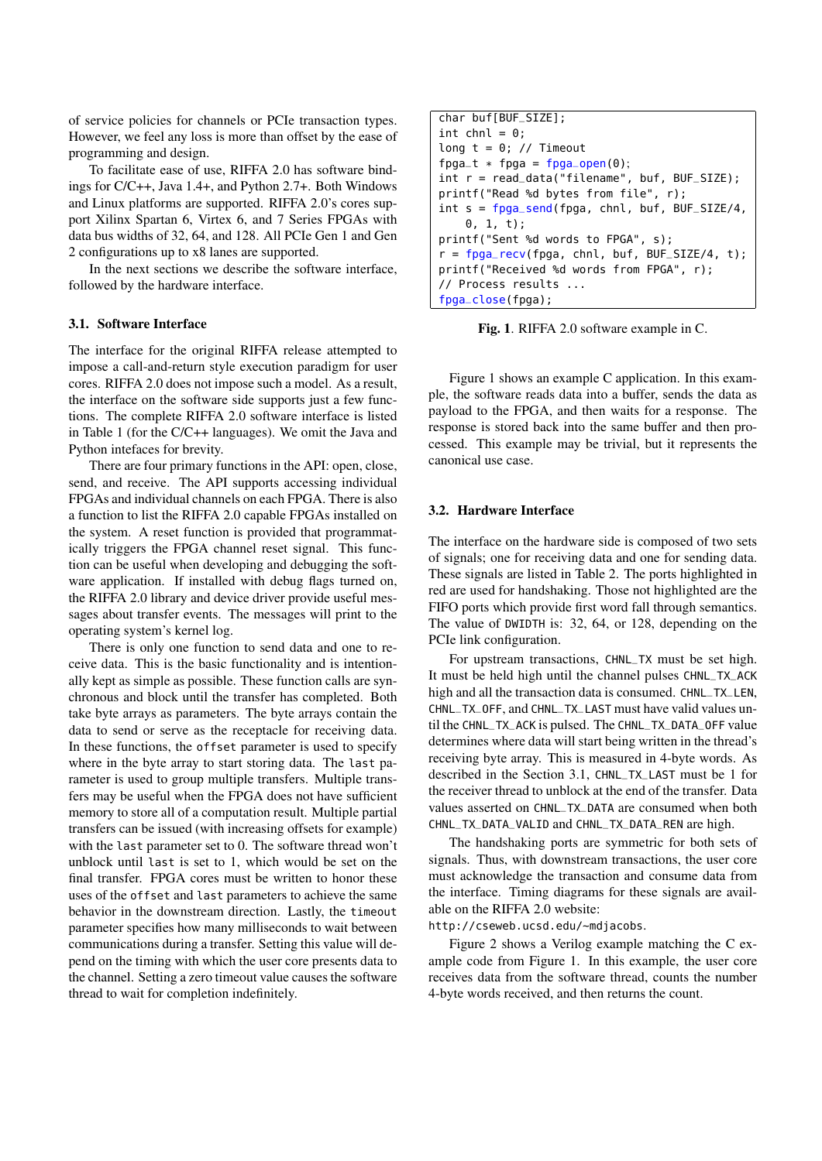of service policies for channels or PCIe transaction types. However, we feel any loss is more than offset by the ease of programming and design.

To facilitate ease of use, RIFFA 2.0 has software bindings for C/C++, Java 1.4+, and Python 2.7+. Both Windows and Linux platforms are supported. RIFFA 2.0's cores support Xilinx Spartan 6, Virtex 6, and 7 Series FPGAs with data bus widths of 32, 64, and 128. All PCIe Gen 1 and Gen 2 configurations up to x8 lanes are supported.

In the next sections we describe the software interface, followed by the hardware interface.

#### 3.1. Software Interface

The interface for the original RIFFA release attempted to impose a call-and-return style execution paradigm for user cores. RIFFA 2.0 does not impose such a model. As a result, the interface on the software side supports just a few functions. The complete RIFFA 2.0 software interface is listed in Table 1 (for the C/C++ languages). We omit the Java and Python intefaces for brevity.

There are four primary functions in the API: open, close, send, and receive. The API supports accessing individual FPGAs and individual channels on each FPGA. There is also a function to list the RIFFA 2.0 capable FPGAs installed on the system. A reset function is provided that programmatically triggers the FPGA channel reset signal. This function can be useful when developing and debugging the software application. If installed with debug flags turned on, the RIFFA 2.0 library and device driver provide useful messages about transfer events. The messages will print to the operating system's kernel log.

There is only one function to send data and one to receive data. This is the basic functionality and is intentionally kept as simple as possible. These function calls are synchronous and block until the transfer has completed. Both take byte arrays as parameters. The byte arrays contain the data to send or serve as the receptacle for receiving data. In these functions, the offset parameter is used to specify where in the byte array to start storing data. The last parameter is used to group multiple transfers. Multiple transfers may be useful when the FPGA does not have sufficient memory to store all of a computation result. Multiple partial transfers can be issued (with increasing offsets for example) with the last parameter set to 0. The software thread won't unblock until last is set to 1, which would be set on the final transfer. FPGA cores must be written to honor these uses of the offset and last parameters to achieve the same behavior in the downstream direction. Lastly, the timeout parameter specifies how many milliseconds to wait between communications during a transfer. Setting this value will depend on the timing with which the user core presents data to the channel. Setting a zero timeout value causes the software thread to wait for completion indefinitely.

```
char buf[BUF_SIZE];
int chnl = 0;
long t = 0; // Timeout
fpga_t * fpga = fpga_open(0);int r = read_data("filename", buf, BUF_SIZE);
printf("Read %d bytes from file", r);
int s = f \rho g a send(fpga, chnl, buf, BUF SIZE/4,
    0, 1, t);
printf("Sent %d words to FPGA", s);
r = fpga_recv(fpga, chn1, but f, BUF_SIZE/4, t);printf("Received %d words from FPGA", r);
// Process results ...
fpga_close(fpga);
```
Fig. 1. RIFFA 2.0 software example in C.

Figure 1 shows an example C application. In this example, the software reads data into a buffer, sends the data as payload to the FPGA, and then waits for a response. The response is stored back into the same buffer and then processed. This example may be trivial, but it represents the canonical use case.

#### 3.2. Hardware Interface

The interface on the hardware side is composed of two sets of signals; one for receiving data and one for sending data. These signals are listed in Table 2. The ports highlighted in red are used for handshaking. Those not highlighted are the FIFO ports which provide first word fall through semantics. The value of DWIDTH is: 32, 64, or 128, depending on the PCIe link configuration.

For upstream transactions, CHNL\_TX must be set high. It must be held high until the channel pulses CHNL\_TX\_ACK high and all the transaction data is consumed. CHNL\_TX\_LEN, CHNL\_TX\_OFF, and CHNL\_TX\_LAST must have valid values until the CHNL\_TX\_ACK is pulsed. The CHNL\_TX\_DATA\_OFF value determines where data will start being written in the thread's receiving byte array. This is measured in 4-byte words. As described in the Section 3.1, CHNL\_TX\_LAST must be 1 for the receiver thread to unblock at the end of the transfer. Data values asserted on CHNL\_TX\_DATA are consumed when both CHNL\_TX\_DATA\_VALID and CHNL\_TX\_DATA\_REN are high.

The handshaking ports are symmetric for both sets of signals. Thus, with downstream transactions, the user core must acknowledge the transaction and consume data from the interface. Timing diagrams for these signals are available on the RIFFA 2.0 website:

http://cseweb.ucsd.edu/~mdjacobs.

Figure 2 shows a Verilog example matching the C example code from Figure 1. In this example, the user core receives data from the software thread, counts the number 4-byte words received, and then returns the count.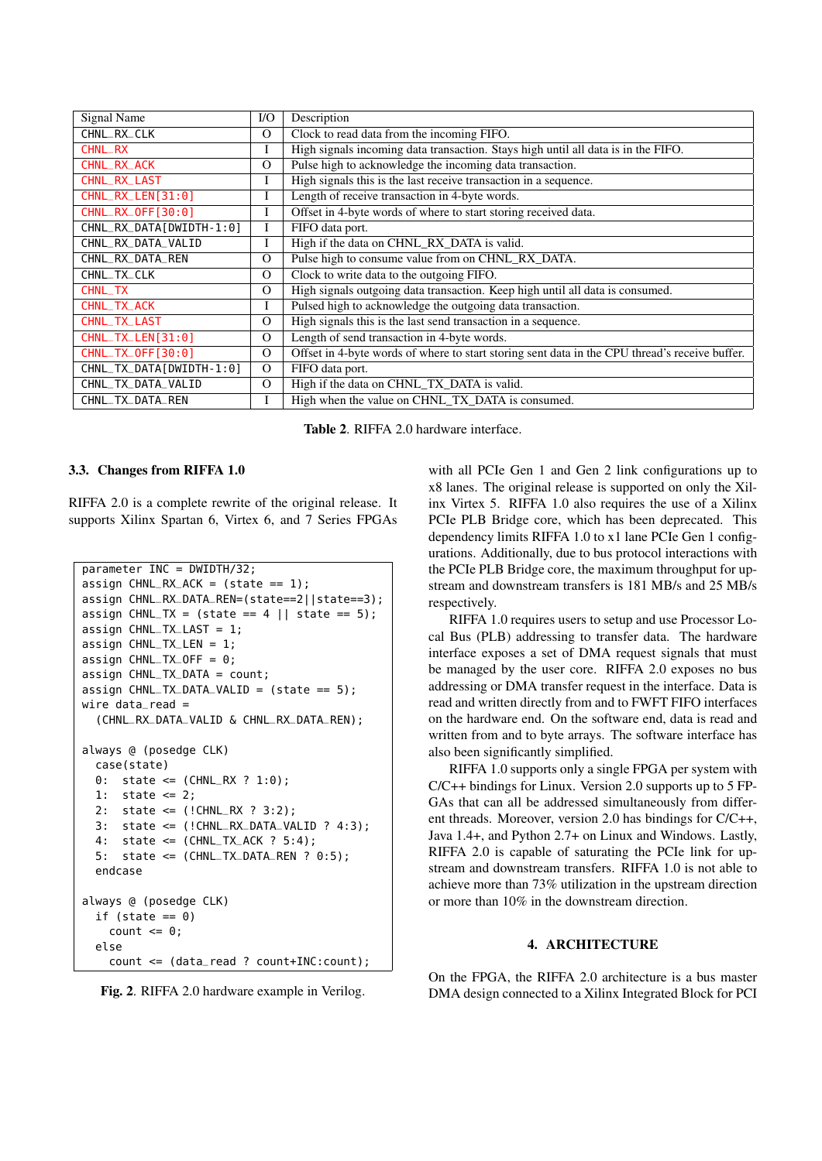| <b>Signal Name</b>       | $NO$     | Description                                                                                    |  |  |  |
|--------------------------|----------|------------------------------------------------------------------------------------------------|--|--|--|
| CHNL_RX_CLK              | $\Omega$ | Clock to read data from the incoming FIFO.                                                     |  |  |  |
| <b>CHNL_RX</b>           | I        | High signals incoming data transaction. Stays high until all data is in the FIFO.              |  |  |  |
| CHNL_RX_ACK              | $\Omega$ | Pulse high to acknowledge the incoming data transaction.                                       |  |  |  |
| CHNL_RX_LAST             | Ι        | High signals this is the last receive transaction in a sequence.                               |  |  |  |
| CHNL_RX_LEN[31:0]        | I        | Length of receive transaction in 4-byte words.                                                 |  |  |  |
| CHNL_RX_0FF[30:0]        | I        | Offset in 4-byte words of where to start storing received data.                                |  |  |  |
| CHNL_RX_DATA[DWIDTH-1:0] |          | FIFO data port.                                                                                |  |  |  |
| CHNL_RX_DATA_VALID       | Ι        | High if the data on CHNL_RX_DATA is valid.                                                     |  |  |  |
| CHNL_RX_DATA_REN         | $\Omega$ | Pulse high to consume value from on CHNL_RX_DATA.                                              |  |  |  |
| CHNL_TX_CLK              | $\Omega$ | Clock to write data to the outgoing FIFO.                                                      |  |  |  |
| <b>CHNL_TX</b>           | $\Omega$ | High signals outgoing data transaction. Keep high until all data is consumed.                  |  |  |  |
| CHNL_TX_ACK              | I        | Pulsed high to acknowledge the outgoing data transaction.                                      |  |  |  |
| <b>CHNL_TX_LAST</b>      | $\Omega$ | High signals this is the last send transaction in a sequence.                                  |  |  |  |
| CHNL_TX_LEN[31:0]        | $\Omega$ | Length of send transaction in 4-byte words.                                                    |  |  |  |
| CHNL_TX_0FF[30:0]        | $\Omega$ | Offset in 4-byte words of where to start storing sent data in the CPU thread's receive buffer. |  |  |  |
| CHNL_TX_DATA[DWIDTH-1:0] | $\Omega$ | FIFO data port.                                                                                |  |  |  |
| CHNL_TX_DATA_VALID       | $\Omega$ | High if the data on CHNL_TX_DATA is valid.                                                     |  |  |  |
| CHNL_TX_DATA_REN         | L        | High when the value on CHNL TX DATA is consumed.                                               |  |  |  |

Table 2. RIFFA 2.0 hardware interface.

#### 3.3. Changes from RIFFA 1.0

RIFFA 2.0 is a complete rewrite of the original release. It supports Xilinx Spartan 6, Virtex 6, and 7 Series FPGAs

```
parameter INC = DWIDTH/32;
assign CHNL_RX_ACK = (state == 1);assign CHNL_RX_DATA_REN=(state==2||state==3);
assign CHNL_TX = (state == 4 || state == 5);
assign CHNL_TX_LAST = 1;
assign CHNL_TX_LEN = 1;
assign CHNL-TX_OFF = 0;\text{assian CHNLTX}DATA = count:
assign CHNL_TX_DATA_VALID = (state == 5);wire data_read =(CHNL_RX_DATA_VALID & CHNL_RX_DATA_REN);
always @ (posedge CLK)
  case(state)
  0: state <= (CHNL_RX ? 1:0);
  1: state \leq 2;
  2: state <= (!CHNL_RX ? 3:2);
  3: state <= (!CHNL_RX_DATA_VALID ? 4:3);
  4: state \leq (CHNL_TX_ACK ? 5:4);
  5: state <= (CHNL_TX_DATA_REN ? 0:5);
  endcase
always @ (posedge CLK)
  if (state == 0)
    count \leq 0;
  else
    count <= (data_read ? count+INC:count);
```
Fig. 2. RIFFA 2.0 hardware example in Verilog.

with all PCIe Gen 1 and Gen 2 link configurations up to x8 lanes. The original release is supported on only the Xilinx Virtex 5. RIFFA 1.0 also requires the use of a Xilinx PCIe PLB Bridge core, which has been deprecated. This dependency limits RIFFA 1.0 to x1 lane PCIe Gen 1 configurations. Additionally, due to bus protocol interactions with the PCIe PLB Bridge core, the maximum throughput for upstream and downstream transfers is 181 MB/s and 25 MB/s respectively.

RIFFA 1.0 requires users to setup and use Processor Local Bus (PLB) addressing to transfer data. The hardware interface exposes a set of DMA request signals that must be managed by the user core. RIFFA 2.0 exposes no bus addressing or DMA transfer request in the interface. Data is read and written directly from and to FWFT FIFO interfaces on the hardware end. On the software end, data is read and written from and to byte arrays. The software interface has also been significantly simplified.

RIFFA 1.0 supports only a single FPGA per system with C/C++ bindings for Linux. Version 2.0 supports up to 5 FP-GAs that can all be addressed simultaneously from different threads. Moreover, version 2.0 has bindings for C/C++, Java 1.4+, and Python 2.7+ on Linux and Windows. Lastly, RIFFA 2.0 is capable of saturating the PCIe link for upstream and downstream transfers. RIFFA 1.0 is not able to achieve more than 73% utilization in the upstream direction or more than 10% in the downstream direction.

### 4. ARCHITECTURE

On the FPGA, the RIFFA 2.0 architecture is a bus master DMA design connected to a Xilinx Integrated Block for PCI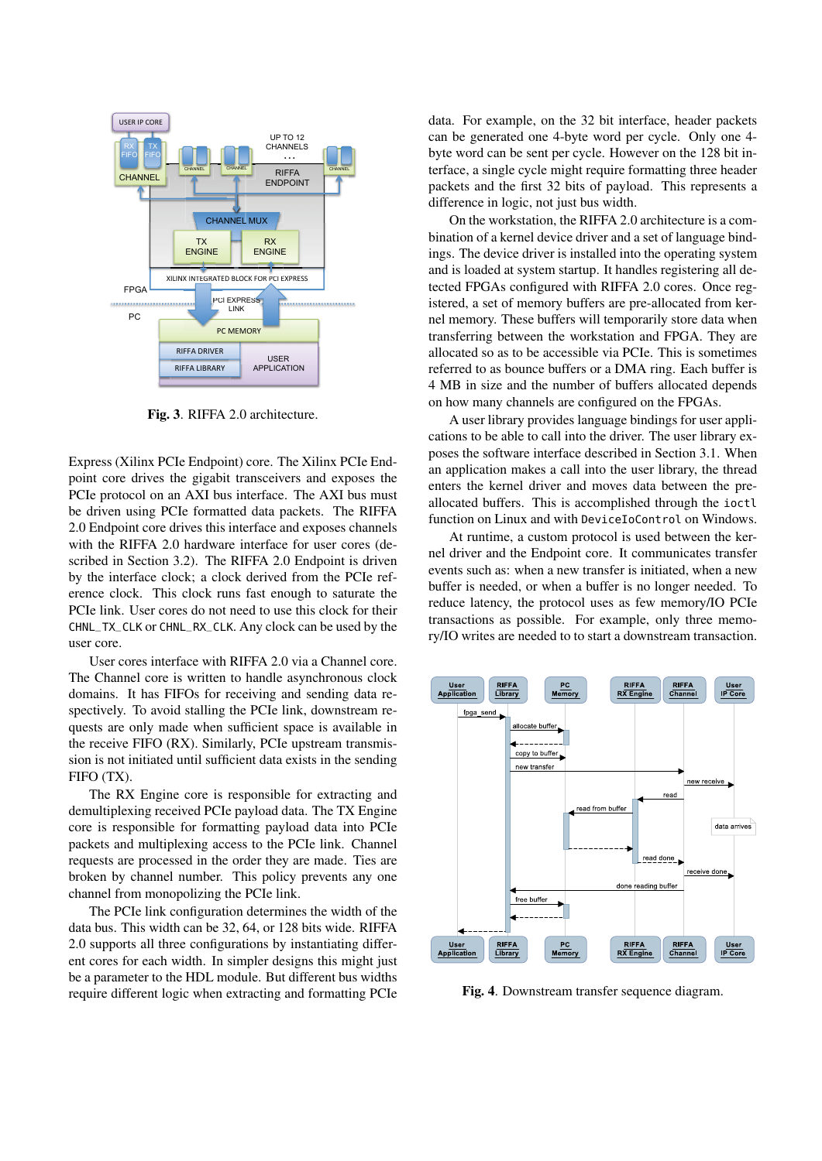

Fig. 3. RIFFA 2.0 architecture.

Express (Xilinx PCIe Endpoint) core. The Xilinx PCIe Endpoint core drives the gigabit transceivers and exposes the PCIe protocol on an AXI bus interface. The AXI bus must be driven using PCIe formatted data packets. The RIFFA 2.0 Endpoint core drives this interface and exposes channels with the RIFFA 2.0 hardware interface for user cores (described in Section 3.2). The RIFFA 2.0 Endpoint is driven by the interface clock; a clock derived from the PCIe reference clock. This clock runs fast enough to saturate the PCIe link. User cores do not need to use this clock for their CHNL\_TX\_CLK or CHNL\_RX\_CLK. Any clock can be used by the user core.

User cores interface with RIFFA 2.0 via a Channel core. The Channel core is written to handle asynchronous clock domains. It has FIFOs for receiving and sending data respectively. To avoid stalling the PCIe link, downstream requests are only made when sufficient space is available in the receive FIFO (RX). Similarly, PCIe upstream transmission is not initiated until sufficient data exists in the sending FIFO (TX).

The RX Engine core is responsible for extracting and demultiplexing received PCIe payload data. The TX Engine core is responsible for formatting payload data into PCIe packets and multiplexing access to the PCIe link. Channel requests are processed in the order they are made. Ties are broken by channel number. This policy prevents any one channel from monopolizing the PCIe link.

The PCIe link configuration determines the width of the data bus. This width can be 32, 64, or 128 bits wide. RIFFA 2.0 supports all three configurations by instantiating different cores for each width. In simpler designs this might just be a parameter to the HDL module. But different bus widths require different logic when extracting and formatting PCIe data. For example, on the 32 bit interface, header packets can be generated one 4-byte word per cycle. Only one 4 byte word can be sent per cycle. However on the 128 bit interface, a single cycle might require formatting three header packets and the first 32 bits of payload. This represents a difference in logic, not just bus width.

On the workstation, the RIFFA 2.0 architecture is a combination of a kernel device driver and a set of language bindings. The device driver is installed into the operating system and is loaded at system startup. It handles registering all detected FPGAs configured with RIFFA 2.0 cores. Once registered, a set of memory buffers are pre-allocated from kernel memory. These buffers will temporarily store data when transferring between the workstation and FPGA. They are allocated so as to be accessible via PCIe. This is sometimes referred to as bounce buffers or a DMA ring. Each buffer is 4 MB in size and the number of buffers allocated depends on how many channels are configured on the FPGAs.

A user library provides language bindings for user applications to be able to call into the driver. The user library exposes the software interface described in Section 3.1. When an application makes a call into the user library, the thread enters the kernel driver and moves data between the preallocated buffers. This is accomplished through the ioctl function on Linux and with DeviceIoControl on Windows.

At runtime, a custom protocol is used between the kernel driver and the Endpoint core. It communicates transfer events such as: when a new transfer is initiated, when a new buffer is needed, or when a buffer is no longer needed. To reduce latency, the protocol uses as few memory/IO PCIe transactions as possible. For example, only three memory/IO writes are needed to to start a downstream transaction.



Fig. 4. Downstream transfer sequence diagram.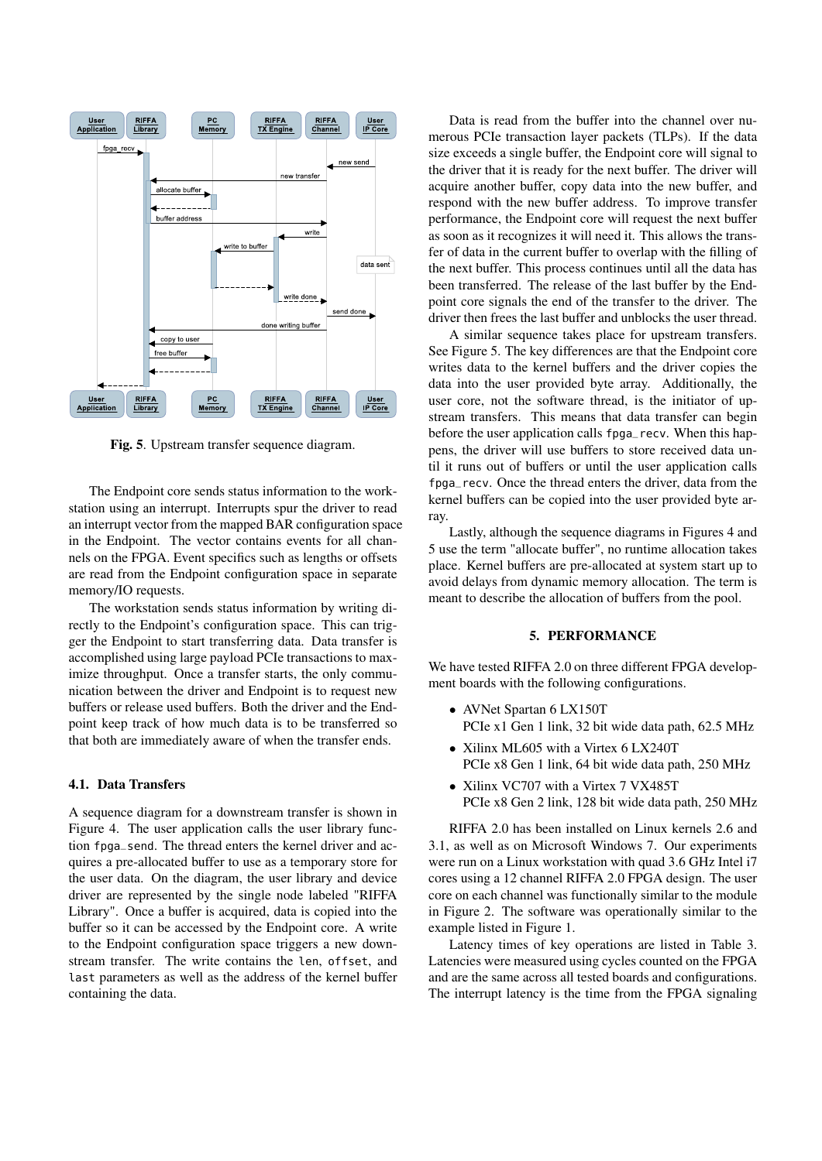

Fig. 5. Upstream transfer sequence diagram.

The Endpoint core sends status information to the workstation using an interrupt. Interrupts spur the driver to read an interrupt vector from the mapped BAR configuration space in the Endpoint. The vector contains events for all channels on the FPGA. Event specifics such as lengths or offsets are read from the Endpoint configuration space in separate memory/IO requests.

The workstation sends status information by writing directly to the Endpoint's configuration space. This can trigger the Endpoint to start transferring data. Data transfer is accomplished using large payload PCIe transactions to maximize throughput. Once a transfer starts, the only communication between the driver and Endpoint is to request new buffers or release used buffers. Both the driver and the Endpoint keep track of how much data is to be transferred so that both are immediately aware of when the transfer ends.

#### 4.1. Data Transfers

A sequence diagram for a downstream transfer is shown in Figure 4. The user application calls the user library function fpga\_send. The thread enters the kernel driver and acquires a pre-allocated buffer to use as a temporary store for the user data. On the diagram, the user library and device driver are represented by the single node labeled "RIFFA Library". Once a buffer is acquired, data is copied into the buffer so it can be accessed by the Endpoint core. A write to the Endpoint configuration space triggers a new downstream transfer. The write contains the len, offset, and last parameters as well as the address of the kernel buffer containing the data.

Data is read from the buffer into the channel over numerous PCIe transaction layer packets (TLPs). If the data size exceeds a single buffer, the Endpoint core will signal to the driver that it is ready for the next buffer. The driver will acquire another buffer, copy data into the new buffer, and respond with the new buffer address. To improve transfer performance, the Endpoint core will request the next buffer as soon as it recognizes it will need it. This allows the transfer of data in the current buffer to overlap with the filling of the next buffer. This process continues until all the data has been transferred. The release of the last buffer by the Endpoint core signals the end of the transfer to the driver. The driver then frees the last buffer and unblocks the user thread.

A similar sequence takes place for upstream transfers. See Figure 5. The key differences are that the Endpoint core writes data to the kernel buffers and the driver copies the data into the user provided byte array. Additionally, the user core, not the software thread, is the initiator of upstream transfers. This means that data transfer can begin before the user application calls fpga\_recv. When this happens, the driver will use buffers to store received data until it runs out of buffers or until the user application calls fpga\_recv. Once the thread enters the driver, data from the kernel buffers can be copied into the user provided byte array.

Lastly, although the sequence diagrams in Figures 4 and 5 use the term "allocate buffer", no runtime allocation takes place. Kernel buffers are pre-allocated at system start up to avoid delays from dynamic memory allocation. The term is meant to describe the allocation of buffers from the pool.

#### 5. PERFORMANCE

We have tested RIFFA 2.0 on three different FPGA development boards with the following configurations.

- AVNet Spartan 6 LX150T PCIe x1 Gen 1 link, 32 bit wide data path, 62.5 MHz
- Xilinx ML605 with a Virtex 6 LX240T PCIe x8 Gen 1 link, 64 bit wide data path, 250 MHz
- Xilinx VC707 with a Virtex 7 VX485T PCIe x8 Gen 2 link, 128 bit wide data path, 250 MHz

RIFFA 2.0 has been installed on Linux kernels 2.6 and 3.1, as well as on Microsoft Windows 7. Our experiments were run on a Linux workstation with quad 3.6 GHz Intel i7 cores using a 12 channel RIFFA 2.0 FPGA design. The user core on each channel was functionally similar to the module in Figure 2. The software was operationally similar to the example listed in Figure 1.

Latency times of key operations are listed in Table 3. Latencies were measured using cycles counted on the FPGA and are the same across all tested boards and configurations. The interrupt latency is the time from the FPGA signaling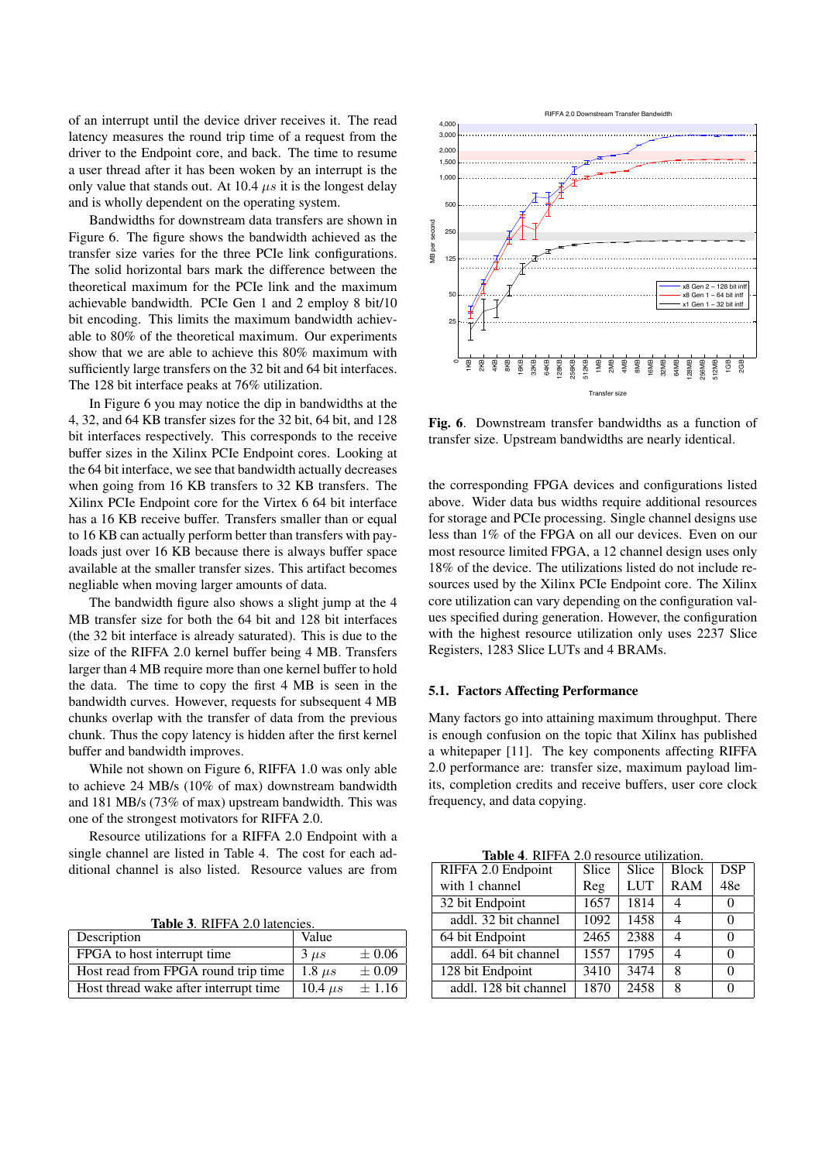of an interrupt until the device driver receives it. The read latency measures the round trip time of a request from the driver to the Endpoint core, and back. The time to resume a user thread after it has been woken by an interrupt is the only value that stands out. At 10.4  $\mu s$  it is the longest delay and is wholly dependent on the operating system.

Bandwidths for downstream data transfers are shown in Figure 6. The figure shows the bandwidth achieved as the transfer size varies for the three PCIe link configurations. The solid horizontal bars mark the difference between the theoretical maximum for the PCIe link and the maximum achievable bandwidth. PCIe Gen 1 and 2 employ 8 bit/10 bit encoding. This limits the maximum bandwidth achievable to 80% of the theoretical maximum. Our experiments show that we are able to achieve this 80% maximum with sufficiently large transfers on the 32 bit and 64 bit interfaces. The 128 bit interface peaks at 76% utilization.

In Figure 6 you may notice the dip in bandwidths at the 4, 32, and 64 KB transfer sizes for the 32 bit, 64 bit, and 128 bit interfaces respectively. This corresponds to the receive buffer sizes in the Xilinx PCIe Endpoint cores. Looking at the 64 bit interface, we see that bandwidth actually decreases when going from 16 KB transfers to 32 KB transfers. The Xilinx PCIe Endpoint core for the Virtex 6 64 bit interface has a 16 KB receive buffer. Transfers smaller than or equal to 16 KB can actually perform better than transfers with payloads just over 16 KB because there is always buffer space available at the smaller transfer sizes. This artifact becomes negliable when moving larger amounts of data.

The bandwidth figure also shows a slight jump at the 4 MB transfer size for both the 64 bit and 128 bit interfaces (the 32 bit interface is already saturated). This is due to the size of the RIFFA 2.0 kernel buffer being 4 MB. Transfers larger than 4 MB require more than one kernel buffer to hold the data. The time to copy the first 4 MB is seen in the bandwidth curves. However, requests for subsequent 4 MB chunks overlap with the transfer of data from the previous chunk. Thus the copy latency is hidden after the first kernel buffer and bandwidth improves.

While not shown on Figure 6, RIFFA 1.0 was only able to achieve 24 MB/s (10% of max) downstream bandwidth and 181 MB/s (73% of max) upstream bandwidth. This was one of the strongest motivators for RIFFA 2.0.

Resource utilizations for a RIFFA 2.0 Endpoint with a single channel are listed in Table 4. The cost for each additional channel is also listed. Resource values are from

Table 3. RIFFA 2.0 latencies.

| Description                           | Value         |            |
|---------------------------------------|---------------|------------|
| FPGA to host interrupt time           | $3 \mu s$     | $\pm 0.06$ |
| Host read from FPGA round trip time   | $1.8 \ \mu s$ | $\pm 0.09$ |
| Host thread wake after interrupt time | 10.4 $\mu$ s  | $\pm 1.16$ |



Fig. 6. Downstream transfer bandwidths as a function of transfer size. Upstream bandwidths are nearly identical.

the corresponding FPGA devices and configurations listed above. Wider data bus widths require additional resources for storage and PCIe processing. Single channel designs use less than 1% of the FPGA on all our devices. Even on our most resource limited FPGA, a 12 channel design uses only 18% of the device. The utilizations listed do not include resources used by the Xilinx PCIe Endpoint core. The Xilinx core utilization can vary depending on the configuration values specified during generation. However, the configuration with the highest resource utilization only uses 2237 Slice Registers, 1283 Slice LUTs and 4 BRAMs.

#### 5.1. Factors Affecting Performance

Many factors go into attaining maximum throughput. There is enough confusion on the topic that Xilinx has published a whitepaper [11]. The key components affecting RIFFA 2.0 performance are: transfer size, maximum payload limits, completion credits and receive buffers, user core clock frequency, and data copying.

| Table 4. RIFFA 2.0 resource utilization. |       |                    |              |            |  |  |  |
|------------------------------------------|-------|--------------------|--------------|------------|--|--|--|
| RIFFA 2.0 Endpoint                       | Slice | Slice              | <b>Block</b> | <b>DSP</b> |  |  |  |
| with 1 channel                           | Reg   | <b>LUT</b>         | <b>RAM</b>   | 48e        |  |  |  |
| 32 bit Endpoint                          | 1657  | 1814               |              | $\Omega$   |  |  |  |
| addl. 32 bit channel                     | 1092  | $\overline{1}$ 458 |              |            |  |  |  |
| 64 bit Endpoint                          | 2465  | 2388               |              |            |  |  |  |
| addl. 64 bit channel                     | 1557  | 1795               |              |            |  |  |  |
| 128 bit Endpoint                         | 3410  | 3474               | 8            |            |  |  |  |
| addl. 128 bit channel                    | 1870  | 2458               | 8            |            |  |  |  |